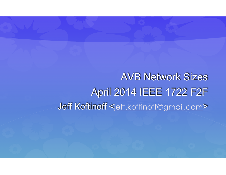AVB Network Sizes April 2014 IEEE 1722 F2F Jeff Koftinoff <jeff.koftinoff@gmail.com>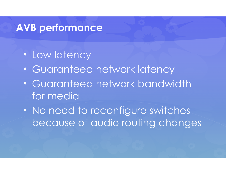### **AVB performance**

- Low latency
- Guaranteed network latency
- Guaranteed network bandwidth for media
- No need to reconfigure switches because of audio routing changes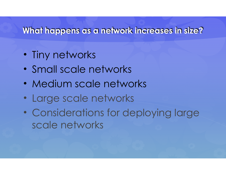#### **What happens as a network increases in size?**

- Tiny networks
- Small scale networks
- Medium scale networks
- Large scale networks
- Considerations for deploying large scale networks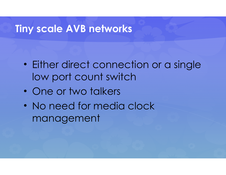#### **Tiny scale AVB networks**

- Either direct connection or a single low port count switch
- One or two talkers
- No need for media clock management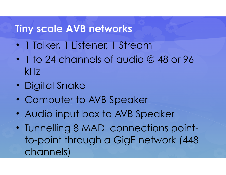### **Tiny scale AVB networks**

- 1 Talker, 1 Listener, 1 Stream
- 1 to 24 channels of audio @ 48 or 96 kHz
- Digital Snake
- Computer to AVB Speaker
- Audio input box to AVB Speaker
- Tunnelling 8 MADI connections pointto-point through a GigE network (448 channels)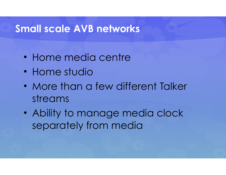### **Small scale AVB networks**

- Home media centre
- Home studio
- More than a few different Talker streams
- Ability to manage media clock separately from media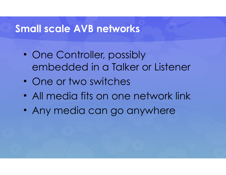### **Small scale AVB networks**

- One Controller, possibly embedded in a Talker or Listener
- One or two switches
- All media fits on one network link
- Any media can go anywhere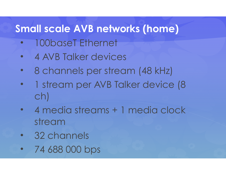# **Small scale AVB networks (home)**

- 100baseT Ethernet
- 4 AVB Talker devices
- 8 channels per stream (48 kHz)
- 1 stream per AVB Talker device (8 ch)
- 4 media streams + 1 media clock stream
- 32 channels
- 74 688 000 bps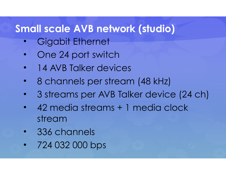# **Small scale AVB network (studio)**

- Gigabit Ethernet
- One 24 port switch
- 14 AVB Talker devices
- 8 channels per stream (48 kHz)
- 3 streams per AVB Talker device (24 ch)
- 42 media streams + 1 media clock stream
- 336 channels
- 724 032 000 bps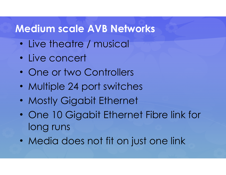### **Medium scale AVB Networks**

- Live theatre / musical
- Live concert
- One or two Controllers
- Multiple 24 port switches
- Mostly Gigabit Ethernet
- One 10 Gigabit Ethernet Fibre link for long runs
- Media does not fit on just one link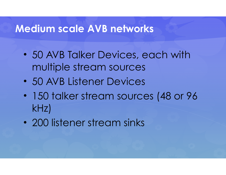### **Medium scale AVB networks**

- 50 AVB Talker Devices, each with multiple stream sources
- 50 AVB Listener Devices
- 150 talker stream sources (48 or 96 kHz)
- 200 listener stream sinks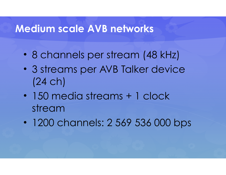### **Medium scale AVB networks**

- 8 channels per stream (48 kHz)
- 3 streams per AVB Talker device (24 ch)
- 150 media streams + 1 clock stream
- 1200 channels: 2 569 536 000 bps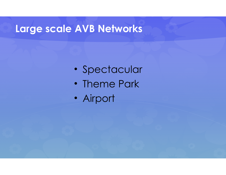# **Large scale AVB Networks**

- Spectacular
- Theme Park
- Airport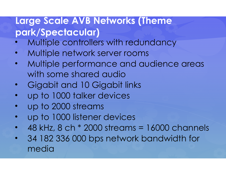### **Large Scale AVB Networks (Theme park/Spectacular)**

- Multiple controllers with redundancy
- Multiple network server rooms
- Multiple performance and audience areas with some shared audio
- Gigabit and 10 Gigabit links
- up to 1000 talker devices
- up to 2000 streams
- up to 1000 listener devices
- $\cdot$  48 kHz, 8 ch  $*$  2000 streams = 16000 channels
- 34 182 336 000 bps network bandwidth for media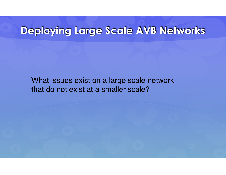### **Deploying Large Scale AVB Networks**

What issues exist on a large scale network that do not exist at a smaller scale?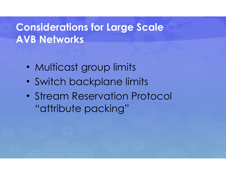# **Considerations for Large Scale AVB Networks**

- Multicast group limits
- Switch backplane limits
- Stream Reservation Protocol "attribute packing"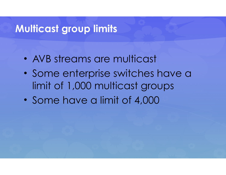### **Multicast group limits**

- AVB streams are multicast
- Some enterprise switches have a limit of 1,000 multicast groups
- Some have a limit of 4,000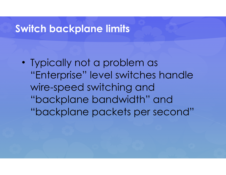#### **Switch backplane limits**

• Typically not a problem as "Enterprise" level switches handle wire-speed switching and "backplane bandwidth" and "backplane packets per second"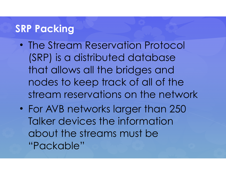# **SRP Packing**

- The Stream Reservation Protocol (SRP) is a distributed database that allows all the bridges and nodes to keep track of all of the stream reservations on the network
- For AVB networks larger than 250 Talker devices the information about the streams must be "Packable"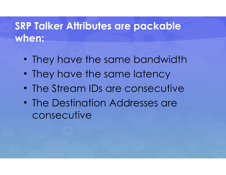# **SRP Talker Attributes are packable when:**

- They have the same bandwidth
- They have the same latency
- The Stream IDs are consecutive
- The Destination Addresses are consecutive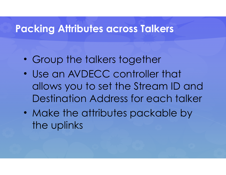#### **Packing Attributes across Talkers**

- Group the talkers together
- Use an AVDECC controller that allows you to set the Stream ID and Destination Address for each talker
- Make the attributes packable by the uplinks